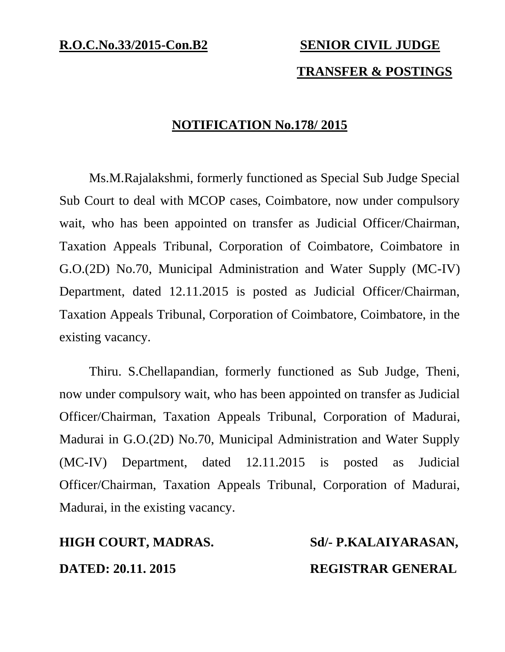# **TRANSFER & POSTINGS**

### **NOTIFICATION No.178/ 2015**

Ms.M.Rajalakshmi, formerly functioned as Special Sub Judge Special Sub Court to deal with MCOP cases, Coimbatore, now under compulsory wait, who has been appointed on transfer as Judicial Officer/Chairman, Taxation Appeals Tribunal, Corporation of Coimbatore, Coimbatore in G.O.(2D) No.70, Municipal Administration and Water Supply (MC-IV) Department, dated 12.11.2015 is posted as Judicial Officer/Chairman, Taxation Appeals Tribunal, Corporation of Coimbatore, Coimbatore, in the existing vacancy.

Thiru. S.Chellapandian, formerly functioned as Sub Judge, Theni, now under compulsory wait, who has been appointed on transfer as Judicial Officer/Chairman, Taxation Appeals Tribunal, Corporation of Madurai, Madurai in G.O.(2D) No.70, Municipal Administration and Water Supply (MC-IV) Department, dated 12.11.2015 is posted as Judicial Officer/Chairman, Taxation Appeals Tribunal, Corporation of Madurai, Madurai, in the existing vacancy.

## **HIGH COURT, MADRAS. Sd/- P.KALAIYARASAN,**

**DATED: 20.11. 2015 REGISTRAR GENERAL**